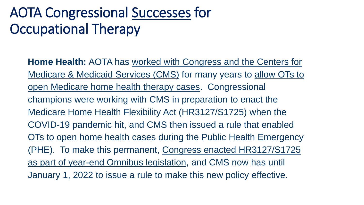**Home Health:** AOTA has worked with Congress and the Centers for Medicare & Medicaid Services (CMS) for many years to allow OTs to open Medicare home health therapy cases. Congressional champions were working with CMS in preparation to enact the Medicare Home Health Flexibility Act (HR3127/S1725) when the COVID-19 pandemic hit, and CMS then issued a rule that enabled OTs to open home health cases during the Public Health Emergency (PHE). To make this permanent, Congress enacted HR3127/S1725 as part of year-end Omnibus legislation, and CMS now has until January 1, 2022 to issue a rule to make this new policy effective.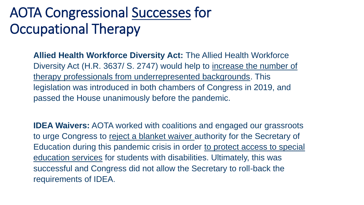**Allied Health Workforce Diversity Act:** The Allied Health Workforce Diversity Act (H.R. 3637/ S. 2747) would help to increase the number of therapy professionals from underrepresented backgrounds. This legislation was introduced in both chambers of Congress in 2019, and passed the House unanimously before the pandemic.

**IDEA Waivers:** AOTA worked with coalitions and engaged our grassroots to urge Congress to reject a blanket waiver authority for the Secretary of Education during this pandemic crisis in order to protect access to special education services for students with disabilities. Ultimately, this was successful and Congress did not allow the Secretary to roll-back the requirements of IDEA.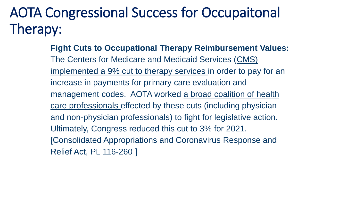**Fight Cuts to Occupational Therapy Reimbursement Values:** The Centers for Medicare and Medicaid Services (CMS) implemented a 9% cut to therapy services in order to pay for an increase in payments for primary care evaluation and management codes. AOTA worked a broad coalition of health care professionals effected by these cuts (including physician and non-physician professionals) to fight for legislative action. Ultimately, Congress reduced this cut to 3% for 2021. [Consolidated Appropriations and Coronavirus Response and Relief Act, PL 116-260 ]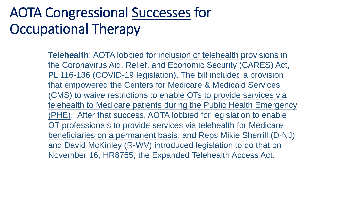**Telehealth**: AOTA lobbied for inclusion of telehealth provisions in the Coronavirus Aid, Relief, and Economic Security (CARES) Act, PL 116-136 (COVID-19 legislation). The bill included a provision that empowered the Centers for Medicare & Medicaid Services (CMS) to waive restrictions to enable OTs to provide services via telehealth to Medicare patients during the Public Health Emergency (PHE). After that success, AOTA lobbied for legislation to enable OT professionals to provide services via telehealth for Medicare beneficiaries on a permanent basis, and Reps Mikie Sherrill (D-NJ) and David McKinley (R-WV) introduced legislation to do that on November 16, HR8755, the Expanded Telehealth Access Act.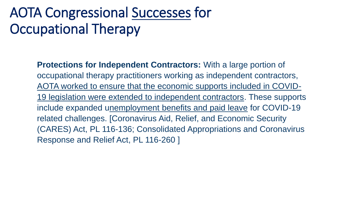**Protections for Independent Contractors:** With a large portion of occupational therapy practitioners working as independent contractors, AOTA worked to ensure that the economic supports included in COVID-19 legislation were extended to independent contractors. These supports include expanded unemployment benefits and paid leave for COVID-19 related challenges. [Coronavirus Aid, Relief, and Economic Security (CARES) Act, PL 116-136; Consolidated Appropriations and Coronavirus Response and Relief Act, PL 116-260 ]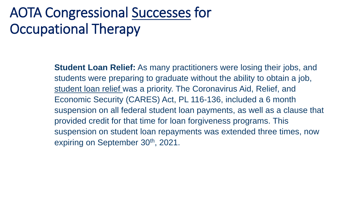**Student Loan Relief:** As many practitioners were losing their jobs, and students were preparing to graduate without the ability to obtain a job, student loan relief was a priority. The Coronavirus Aid, Relief, and Economic Security (CARES) Act, PL 116-136, included a 6 month suspension on all federal student loan payments, as well as a clause that provided credit for that time for loan forgiveness programs. This suspension on student loan repayments was extended three times, now expiring on September 30<sup>th</sup>, 2021.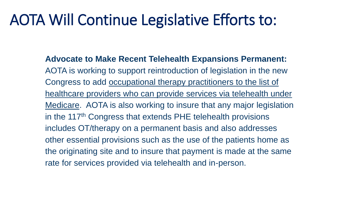**Advocate to Make Recent Telehealth Expansions Permanent:**  AOTA is working to support reintroduction of legislation in the new Congress to add occupational therapy practitioners to the list of healthcare providers who can provide services via telehealth under Medicare. AOTA is also working to insure that any major legislation in the 117<sup>th</sup> Congress that extends PHE telehealth provisions includes OT/therapy on a permanent basis and also addresses other essential provisions such as the use of the patients home as the originating site and to insure that payment is made at the same rate for services provided via telehealth and in-person.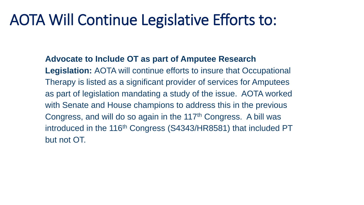**Advocate to Include OT as part of Amputee Research** 

**Legislation:** AOTA will continue efforts to insure that Occupational Therapy is listed as a significant provider of services for Amputees as part of legislation mandating a study of the issue. AOTA worked with Senate and House champions to address this in the previous Congress, and will do so again in the 117<sup>th</sup> Congress. A bill was introduced in the 116<sup>th</sup> Congress (S4343/HR8581) that included PT but not OT.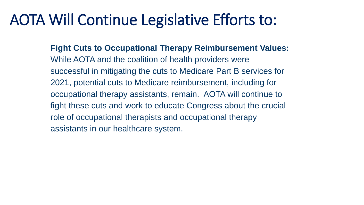**Fight Cuts to Occupational Therapy Reimbursement Values:** While AOTA and the coalition of health providers were successful in mitigating the cuts to Medicare Part B services for 2021, potential cuts to Medicare reimbursement, including for occupational therapy assistants, remain. AOTA will continue to fight these cuts and work to educate Congress about the crucial role of occupational therapists and occupational therapy assistants in our healthcare system.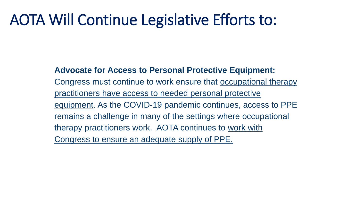#### **Advocate for Access to Personal Protective Equipment:**

Congress must continue to work ensure that occupational therapy practitioners have access to needed personal protective equipment. As the COVID-19 pandemic continues, access to PPE remains a challenge in many of the settings where occupational therapy practitioners work. AOTA continues to work with Congress to ensure an adequate supply of PPE.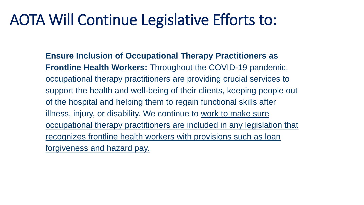**Ensure Inclusion of Occupational Therapy Practitioners as Frontline Health Workers:** Throughout the COVID-19 pandemic, occupational therapy practitioners are providing crucial services to support the health and well-being of their clients, keeping people out of the hospital and helping them to regain functional skills after illness, injury, or disability. We continue to work to make sure occupational therapy practitioners are included in any legislation that recognizes frontline health workers with provisions such as loan forgiveness and hazard pay.